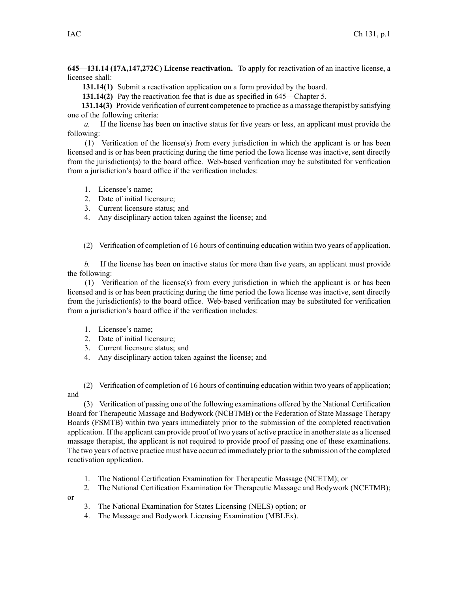**645—131.14 (17A,147,272C) License reactivation.** To apply for reactivation of an inactive license, <sup>a</sup> licensee shall:

**131.14(1)** Submit <sup>a</sup> reactivation application on <sup>a</sup> form provided by the board.

**131.14(2)** Pay the reactivation fee that is due as specified in [645—Chapter](https://www.legis.iowa.gov/docs/iac/chapter/645.5.pdf) 5.

**131.14(3)** Provide verification of current competence to practice as <sup>a</sup> massage therapist by satisfying one of the following criteria:

*a.* If the license has been on inactive status for five years or less, an applicant must provide the following:

(1) Verification of the license(s) from every jurisdiction in which the applicant is or has been licensed and is or has been practicing during the time period the Iowa license was inactive, sent directly from the jurisdiction(s) to the board office. Web-based verification may be substituted for verification from <sup>a</sup> jurisdiction's board office if the verification includes:

- 1. Licensee's name;
- 2. Date of initial licensure;
- 3. Current licensure status; and
- 4. Any disciplinary action taken against the license; and
- (2) Verification of completion of 16 hours of continuing education within two years of application.

*b.* If the license has been on inactive status for more than five years, an applicant must provide the following:

(1) Verification of the license(s) from every jurisdiction in which the applicant is or has been licensed and is or has been practicing during the time period the Iowa license was inactive, sent directly from the jurisdiction(s) to the board office. Web-based verification may be substituted for verification from <sup>a</sup> jurisdiction's board office if the verification includes:

- 1. Licensee's name;
- 2. Date of initial licensure;
- 3. Current licensure status; and
- 4. Any disciplinary action taken against the license; and

(2) Verification of completion of 16 hours of continuing education within two years of application; and

(3) Verification of passing one of the following examinations offered by the National Certification Board for Therapeutic Massage and Bodywork (NCBTMB) or the Federation of State Massage Therapy Boards (FSMTB) within two years immediately prior to the submission of the completed reactivation application. If the applicant can provide proof of two years of active practice in anotherstate as <sup>a</sup> licensed massage therapist, the applicant is not required to provide proof of passing one of these examinations. The two years of active practice must have occurred immediately prior to the submission of the completed reactivation application.

- 1. The National Certification Examination for Therapeutic Massage (NCETM); or
- 2. The National Certification Examination for Therapeutic Massage and Bodywork (NCETMB);

or

- 3. The National Examination for States Licensing (NELS) option; or
- 4. The Massage and Bodywork Licensing Examination (MBLEx).